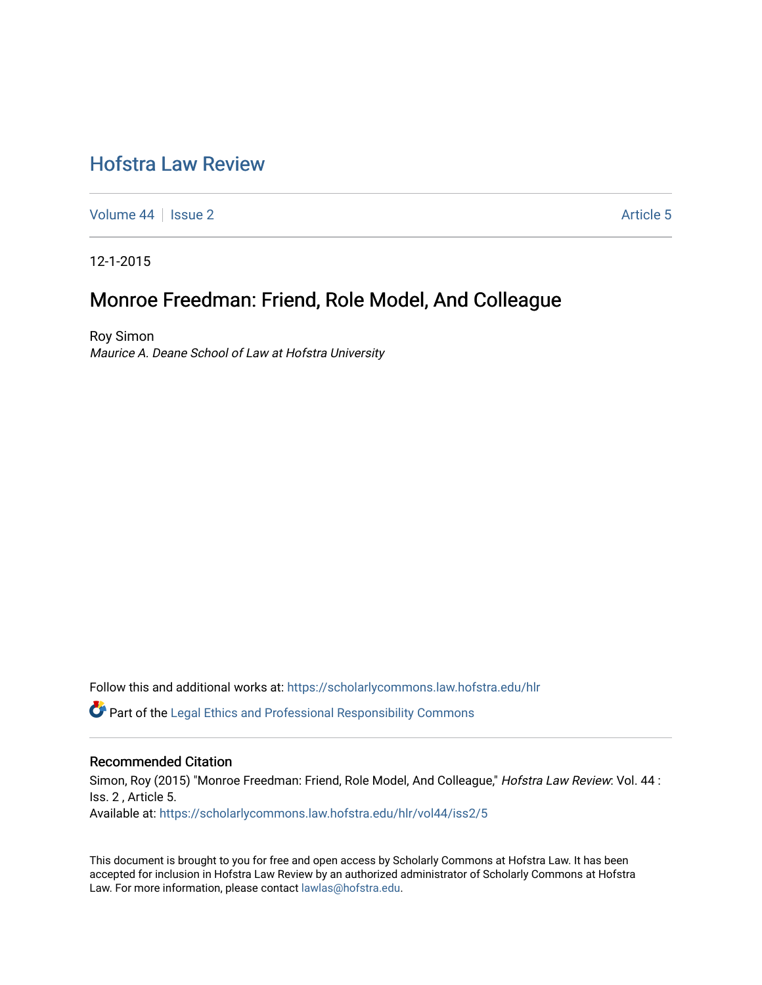# [Hofstra Law Review](https://scholarlycommons.law.hofstra.edu/hlr)

[Volume 44](https://scholarlycommons.law.hofstra.edu/hlr/vol44) | [Issue 2](https://scholarlycommons.law.hofstra.edu/hlr/vol44/iss2) Article 5

12-1-2015

# Monroe Freedman: Friend, Role Model, And Colleague

Roy Simon Maurice A. Deane School of Law at Hofstra University

Follow this and additional works at: [https://scholarlycommons.law.hofstra.edu/hlr](https://scholarlycommons.law.hofstra.edu/hlr?utm_source=scholarlycommons.law.hofstra.edu%2Fhlr%2Fvol44%2Fiss2%2F5&utm_medium=PDF&utm_campaign=PDFCoverPages)

 $\bullet$  Part of the [Legal Ethics and Professional Responsibility Commons](http://network.bepress.com/hgg/discipline/895?utm_source=scholarlycommons.law.hofstra.edu%2Fhlr%2Fvol44%2Fiss2%2F5&utm_medium=PDF&utm_campaign=PDFCoverPages)

### Recommended Citation

Simon, Roy (2015) "Monroe Freedman: Friend, Role Model, And Colleague," Hofstra Law Review: Vol. 44 : Iss. 2 , Article 5. Available at: [https://scholarlycommons.law.hofstra.edu/hlr/vol44/iss2/5](https://scholarlycommons.law.hofstra.edu/hlr/vol44/iss2/5?utm_source=scholarlycommons.law.hofstra.edu%2Fhlr%2Fvol44%2Fiss2%2F5&utm_medium=PDF&utm_campaign=PDFCoverPages)

This document is brought to you for free and open access by Scholarly Commons at Hofstra Law. It has been accepted for inclusion in Hofstra Law Review by an authorized administrator of Scholarly Commons at Hofstra Law. For more information, please contact [lawlas@hofstra.edu.](mailto:lawlas@hofstra.edu)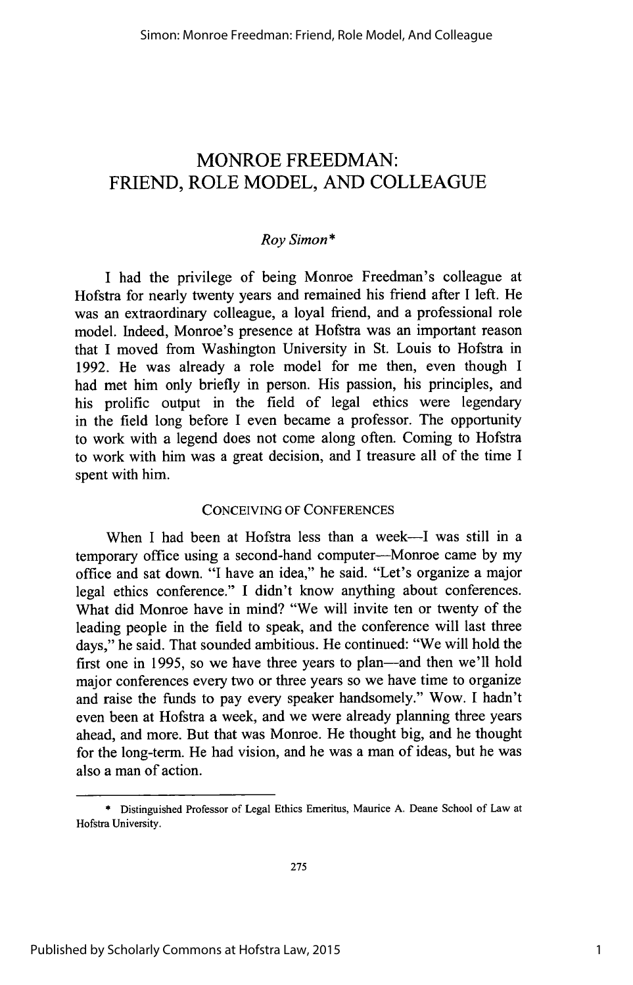## MONROE FREEDMAN: FRIEND, ROLE MODEL, **AND COLLEAGUE**

### *Roy Simon*

**I** had the privilege of being Monroe Freedman's colleague at Hofstra for nearly twenty years and remained his friend after **I** left. He was an extraordinary colleague, a loyal friend, and a professional role model. Indeed, Monroe's presence at Hofstra was an important reason that **I** moved from Washington University in St. Louis to Hofstra in **1992.** He was already a role model for me then, even though **I** had met him only briefly in person. His passion, his principles, and his prolific output in the field of legal ethics were legendary in the field long before **I** even became a professor. The opportunity to work with a legend does not come along often. Coming to Hofstra to work with him was a great decision, and **I** treasure all of the time **<sup>I</sup>** spent with him.

#### CONCEIVING OF **CONFERENCES**

When I had been at Hofstra less than a week-I was still in a temporary office using a second-hand computer-Monroe came **by** my office and sat down. **"I** have an idea," he said. "Let's organize a major legal ethics conference." **I** didn't know anything about conferences. What did Monroe have in mind? "We will invite ten or twenty of the leading people in the field to speak, and the conference will last three days," he said. That sounded ambitious. He continued: "We will hold the first one in 1995, so we have three years to plan-and then we'll hold major conferences every two or three years so we have time to organize and raise the funds to pay every speaker handsomely." Wow. **I** hadn't even been at Hofstra a week, and we were already planning three years ahead, and more. But that was Monroe. He thought big, and he thought for the long-term. He had vision, and he was a man of ideas, but he was also a man of action.

**<sup>\*</sup>** Distinguished Professor of Legal Ethics Emeritus, Maurice **A.** Deane School of Law at Hofstra University.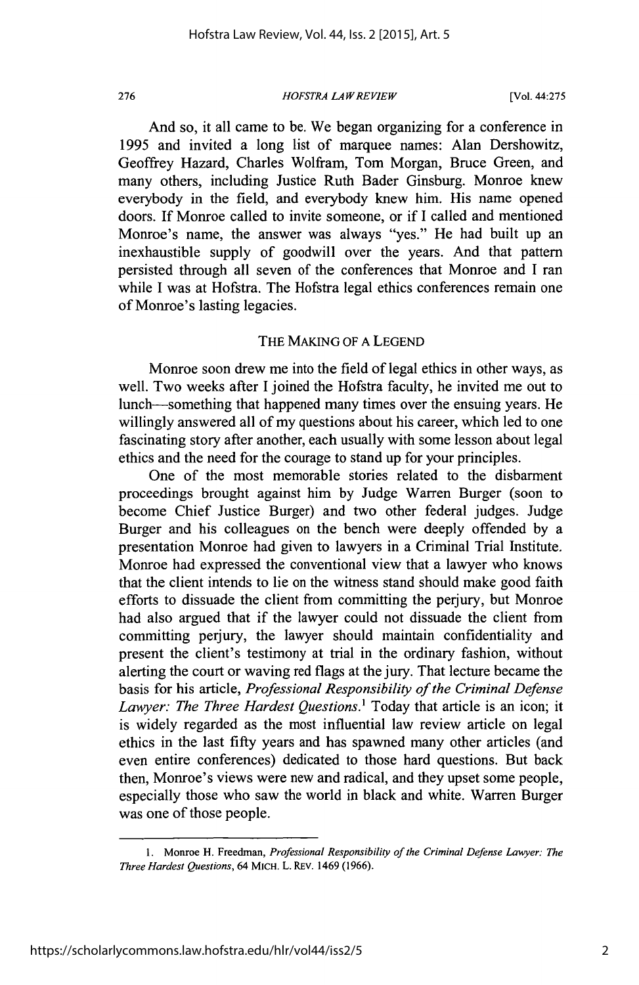*HOFSTRA LAW REVIEW* **276** [Vol. 44:275

And so, it all came to be. We began organizing for a conference in **1995** and invited a long list of marquee names: Alan Dershowitz, Geoffrey Hazard, Charles Wolfram, Tom Morgan, Bruce Green, and many others, including Justice Ruth Bader Ginsburg. Monroe knew everybody in the field, and everybody knew him. His name opened doors. If Monroe called to invite someone, or if **I** called and mentioned Monroe's name, the answer was always "yes." He had built up an inexhaustible supply of goodwill over the years. And that pattern persisted through all seven of the conferences that Monroe and **I** ran while **I** was at Hofstra. The Hofstra legal ethics conferences remain one of Monroe's lasting legacies.

#### THE **MAKING** OF **A LEGEND**

Monroe soon drew me into the field of legal ethics in other ways, as well. Two weeks after **I** joined the Hofstra faculty, he invited me out to lunch-something that happened many times over the ensuing years. He willingly answered all of my questions about his career, which led to one fascinating story after another, each usually with some lesson about legal ethics and the need for the courage to stand up for your principles.

One of the most memorable stories related to the disbarment proceedings brought against him **by** Judge Warren Burger (soon to become Chief Justice Burger) and two other federal judges. Judge Burger and his colleagues on the bench were deeply offended **by** a presentation Monroe had given to lawyers in a Criminal Trial Institute. Monroe had expressed the conventional view that a lawyer who knows that the client intends to lie on the witness stand should make good faith efforts to dissuade the client from committing the perjury, but Monroe had also argued that if the lawyer could not dissuade the client from committing perjury, the lawyer should maintain confidentiality and present the client's testimony at trial in the ordinary fashion, without alerting the court or waving red flags at the jury. That lecture became the basis for his article, *Professional Responsibility of the Criminal Defense Lawyer: The Three Hardest Questions.'* Today that article is an icon; it is widely regarded as the most influential law review article on legal ethics in the last **fifty** years and has spawned many other articles (and even entire conferences) dedicated to those hard questions. But back then, Monroe's views were new and radical, and they upset some people, especially those who saw the world in black and white. Warren Burger was one of those people.

**<sup>1.</sup>** Monroe H. Freedman, *Professional Responsibility of the Criminal Defense Lawyer: The Three Hardest Questions,* 64 MiCH. L. REv. 1469 **(1966).**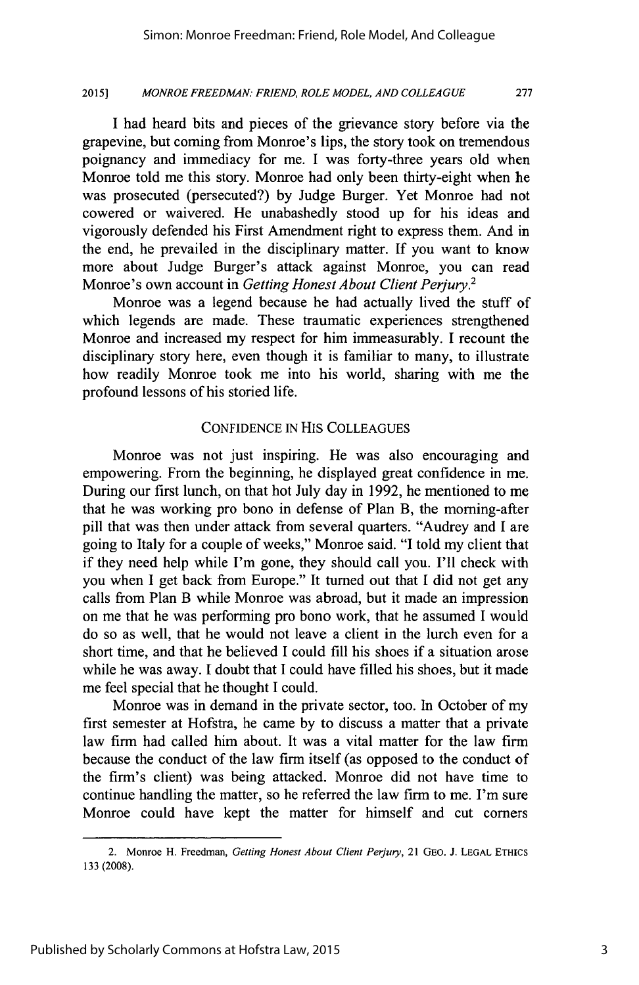**277**

#### **2015]** *MONROE FREEDMAN: FRIEND, ROLE MODEL, AND COLLEAGUE*

**I** had heard bits and pieces of the grievance story before via the grapevine, but coming from Monroe's lips, the story took on tremendous poignancy and immediacy for me. **I** was forty-three years old when Monroe told me this story. Monroe had only been thirty-eight when he was prosecuted (persecuted?) **by** Judge Burger. Yet Monroe had not cowered or waivered. He unabashedly stood up for his ideas and vigorously defended his First Amendment right to express them. And in the end, he prevailed in the disciplinary matter. **If** you want to know more about Judge Burger's attack against Monroe, you can read Monroe's own account in *Getting Honest About Client Perjury.<sup>2</sup>*

Monroe was a legend because he had actually lived the stuff of which legends are made. These traumatic experiences strengthened Monroe and increased my respect for him immeasurably. I recount the disciplinary story here, even though it is familiar to many, to illustrate how readily Monroe took me into his world, sharing with me the profound lessons of his storied life.

#### **CONFIDENCE IN** HIS **COLLEAGUES**

Monroe was not just inspiring. He was also encouraging and empowering. From the beginning, he displayed great confidence in me. During our first lunch, on that hot July day in **1992,** he mentioned to me that he was working pro bono in defense of Plan B, the morning-after pill that was then under attack from several quarters. "Audrey and **I** are going to Italy for a couple of weeks," Monroe said. **"I** told my client that if they need help while I'm gone, they should call you. **I'll** check with you when **I** get back from Europe." It turned out that **I** did not get any calls from Plan B while Monroe was abroad, but it made an impression on me that he was performing pro bono work, that he assumed **I** would do so as well, that he would not leave a client in the lurch even for a short time, and that he believed **I** could **fill** his shoes if a situation arose while he was away. **I** doubt that **I** could have filled his shoes, but it made me feel special that he thought **I** could.

Monroe was in demand in the private sector, too. In October of my first semester at Hofstra, he came **by** to discuss a matter that a private law firm had called him about. It was a vital matter for the law firm because the conduct of the law firm itself (as opposed to the conduct of the firm's client) was being attacked. Monroe did not have time to continue handling the matter, so he referred the law firm to me. I'm sure Monroe could have kept the matter for himself and cut corners

<sup>2.</sup> Monroe H. Freedman, *Getting Honest About Client Perjury,* 21 **GEO.** *J.* **LEGAL ETHICS 133 (2008).**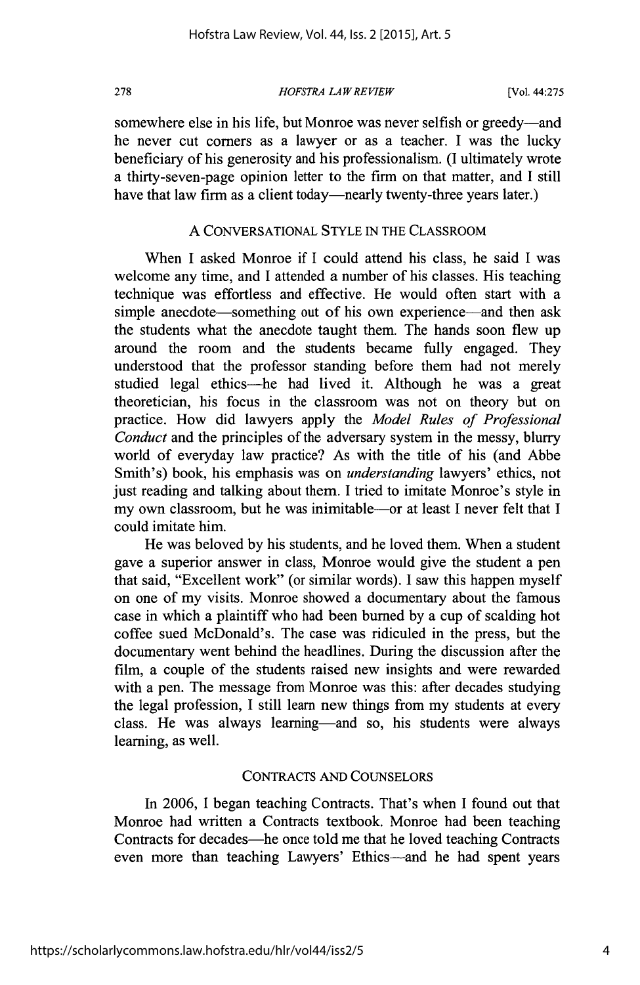*HOFSTRA LAW REVIEW* **278** [Vol. 44:275

somewhere else in his life, but Monroe was never selfish or greedy-and he never cut corners as a lawyer or as a teacher. **I** was the lucky beneficiary of his generosity and his professionalism. **(I** ultimately wrote a thirty-seven-page opinion letter to the firm on that matter, and **I** still have that law firm as a client today—nearly twenty-three years later.)

#### **A CONVERSATIONAL** STYLE **IN** THE CLASSROOM

When I asked Monroe if **I** could attend his class, he said **I** was welcome any time, and **I** attended a number of his classes. His teaching technique was effortless and effective. He would often start with a simple anecdote—something out of his own experience—and then ask the students what the anecdote taught them. The hands soon flew up around the room and the students became fully engaged. They understood that the professor standing before them had not merely studied legal ethics—he had lived it. Although he was a great theoretician, his focus in the classroom was not on theory but on practice. How did lawyers apply the *Model Rules of Professional Conduct* and the principles of the adversary system in the messy, blurry world of everyday law practice? As with the title of his (and Abbe Smith's) book, his emphasis was on *understanding* lawyers' ethics, not just reading and talking about them. **I** tried to imitate Monroe's style in my own classroom, but he was inimitable-or at least **I** never felt that **I** could imitate him.

He was beloved **by** his students, and he loved them. When a student gave a superior answer in class, Monroe would give the student a pen that said, "Excellent work" (or similar words). **I** saw this happen myself on one of my visits. Monroe showed a documentary about the famous case in which a plaintiff who had been burned **by** a cup of scalding hot coffee sued McDonald's. The case was ridiculed in the press, but the documentary went behind the headlines. During the discussion after the film, a couple of the students raised new insights and were rewarded with a pen. The message from Monroe was this: after decades studying the legal profession, **I** still learn new things from my students at every class. He was always learning-and so, his students were always learning, as well.

#### **CONTRACTS AND COUNSELORS**

In **2006,** I began teaching Contracts. That's when **I** found out that Monroe had written a Contracts textbook. Monroe had been teaching Contracts for decades—he once told me that he loved teaching Contracts even more than teaching Lawyers' Ethics-and he had spent years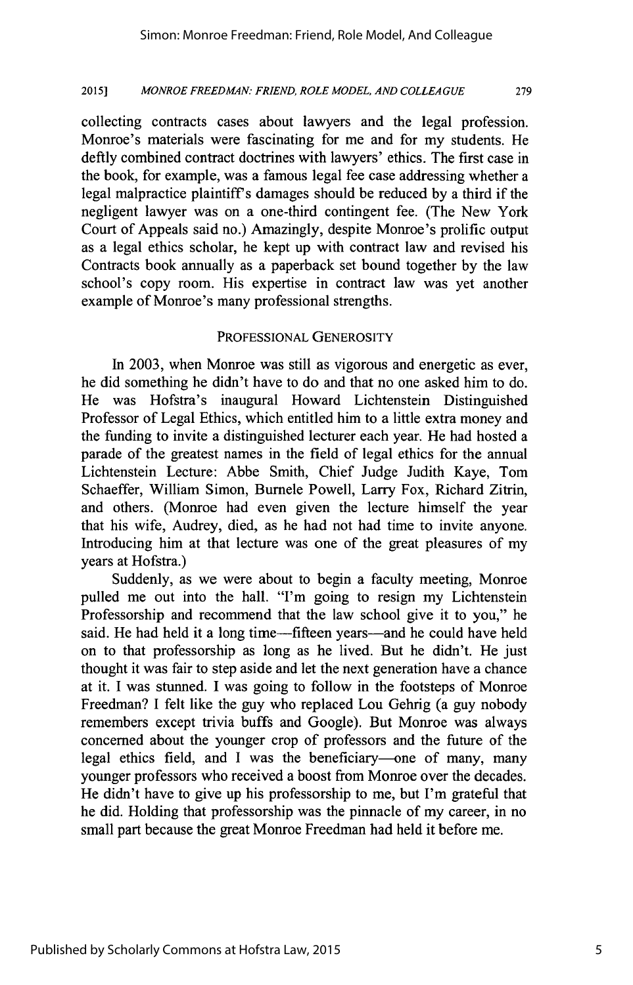**279**

#### **2015]** *MONROE FREEDMAN: FRIEND, ROLE MODEL, AND COLLEAGUE*

collecting contracts cases about lawyers and the legal profession. Monroe's materials were fascinating for me and for my students. He deftly combined contract doctrines with lawyers' ethics. The first case in the book, for example, was a famous legal fee case addressing whether a legal malpractice plaintiffs damages should be reduced **by** a third if the negligent lawyer was on a one-third contingent fee. (The New York Court of Appeals said no.) Amazingly, despite Monroe's prolific output as a legal ethics scholar, he kept up with contract law and revised his Contracts book annually as a paperback set bound together **by** the law school's copy room. His expertise in contract law was yet another example of Monroe's many professional strengths.

#### PROFESSIONAL GENEROSITY

In **2003,** when Monroe was still as vigorous and energetic as ever, he did something he didn't have to do and that no one asked him to do. He was Hofstra's inaugural Howard Lichtenstein Distinguished Professor of Legal Ethics, which entitled him to a little extra money and the funding to invite a distinguished lecturer each year. He had hosted a parade of the greatest names in the field of legal ethics for the annual Lichtenstein Lecture: Abbe Smith, Chief Judge Judith Kaye, Tom Schaeffer, William Simon, Burnele Powell, Larry Fox, Richard Zitrin, and others. (Monroe had even given the lecture himself the year that his wife, Audrey, died, as he had not had time to invite anyone. Introducing him at that lecture was one of the great pleasures of my years at Hofstra.)

Suddenly, as we were about to begin a faculty meeting, Monroe pulled me out into the hall. "I'm going to resign my Lichtenstein Professorship and recommend that the law school give it to you," he said. He had held it a long time-fifteen years-and he could have held on to that professorship as long as he lived. But he didn't. He just thought it was fair to step aside and let the next generation have a chance at it. **I** was stunned. **I** was going to follow in the footsteps of Monroe Freedman? **I** felt like the guy who replaced Lou Gehrig (a guy nobody remembers except trivia buffs and Google). But Monroe was always concerned about the younger crop of professors and the future of the legal ethics field, and **I** was the beneficiary-one of many, many younger professors who received a boost from Monroe over the decades. He didn't have to give up his professorship to me, but I'm grateful that he did. Holding that professorship was the pinnacle of my career, in no small part because the great Monroe Freedman had held it before me.